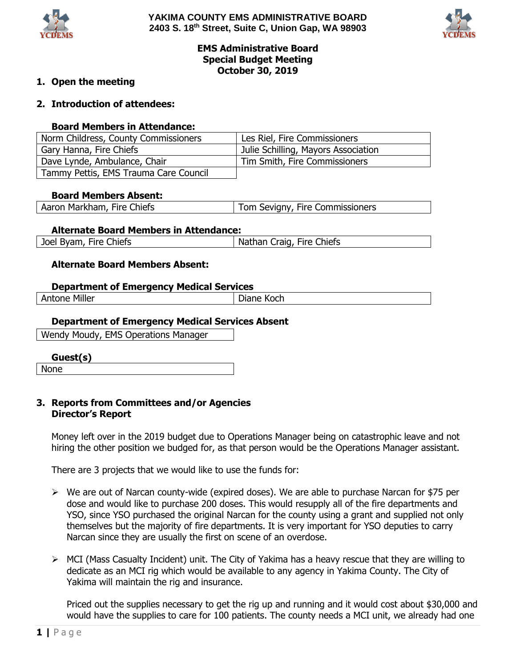



# **EMS Administrative Board Special Budget Meeting October 30, 2019**

## **1. Open the meeting**

## **2. Introduction of attendees:**

#### **Board Members in Attendance:**

| Norm Childress, County Commissioners  | Les Riel, Fire Commissioners        |
|---------------------------------------|-------------------------------------|
| Gary Hanna, Fire Chiefs               | Julie Schilling, Mayors Association |
| Dave Lynde, Ambulance, Chair          | Tim Smith, Fire Commissioners       |
| Tammy Pettis, EMS Trauma Care Council |                                     |

#### **Board Members Absent:**

|  | Aaron Markham, Fire Chiefs | Tom Sevigny, Fire Commissioners |
|--|----------------------------|---------------------------------|
|--|----------------------------|---------------------------------|

#### **Alternate Board Members in Attendance:**

| Joel<br>Fire C<br>Chiefs<br>Nathan<br>Fire -<br><b>Chiefs</b><br>' Byam,<br>taio.<br>lidi i v |
|-----------------------------------------------------------------------------------------------|
|-----------------------------------------------------------------------------------------------|

#### **Alternate Board Members Absent:**

#### **Department of Emergency Medical Services**

| $- - -$<br>M<br>-- --<br>.iller<br>ப<br>əne<br>_______ | Koch<br>--<br>лаne<br>______<br>$  -$ |
|--------------------------------------------------------|---------------------------------------|
|                                                        |                                       |

## **Department of Emergency Medical Services Absent**

Wendy Moudy, EMS Operations Manager

**Guest(s)**

None

## **3. Reports from Committees and/or Agencies Director's Report**

Money left over in the 2019 budget due to Operations Manager being on catastrophic leave and not hiring the other position we budged for, as that person would be the Operations Manager assistant.

There are 3 projects that we would like to use the funds for:

- $\triangleright$  We are out of Narcan county-wide (expired doses). We are able to purchase Narcan for \$75 per dose and would like to purchase 200 doses. This would resupply all of the fire departments and YSO, since YSO purchased the original Narcan for the county using a grant and supplied not only themselves but the majority of fire departments. It is very important for YSO deputies to carry Narcan since they are usually the first on scene of an overdose.
- $\triangleright$  MCI (Mass Casualty Incident) unit. The City of Yakima has a heavy rescue that they are willing to dedicate as an MCI rig which would be available to any agency in Yakima County. The City of Yakima will maintain the rig and insurance.

Priced out the supplies necessary to get the rig up and running and it would cost about \$30,000 and would have the supplies to care for 100 patients. The county needs a MCI unit, we already had one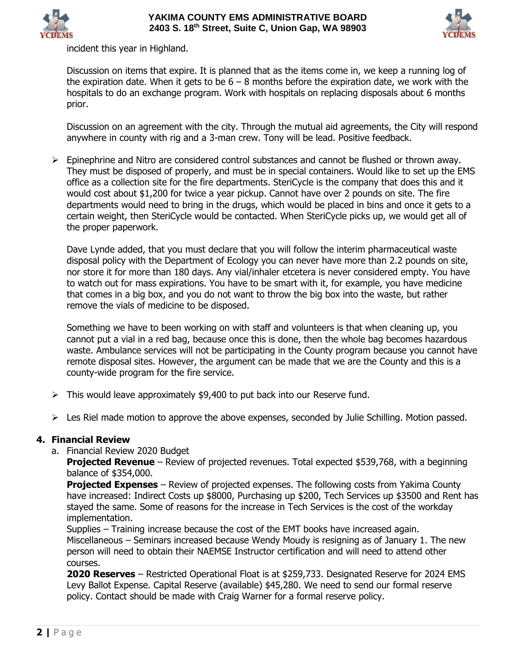



incident this year in Highland.

Discussion on items that expire. It is planned that as the items come in, we keep a running log of the expiration date. When it gets to be  $6 - 8$  months before the expiration date, we work with the hospitals to do an exchange program. Work with hospitals on replacing disposals about 6 months prior.

Discussion on an agreement with the city. Through the mutual aid agreements, the City will respond anywhere in county with rig and a 3-man crew. Tony will be lead. Positive feedback.

 $\triangleright$  Epinephrine and Nitro are considered control substances and cannot be flushed or thrown away. They must be disposed of properly, and must be in special containers. Would like to set up the EMS office as a collection site for the fire departments. SteriCycle is the company that does this and it would cost about \$1,200 for twice a year pickup. Cannot have over 2 pounds on site. The fire departments would need to bring in the drugs, which would be placed in bins and once it gets to a certain weight, then SteriCycle would be contacted. When SteriCycle picks up, we would get all of the proper paperwork.

Dave Lynde added, that you must declare that you will follow the interim pharmaceutical waste disposal policy with the Department of Ecology you can never have more than 2.2 pounds on site, nor store it for more than 180 days. Any vial/inhaler etcetera is never considered empty. You have to watch out for mass expirations. You have to be smart with it, for example, you have medicine that comes in a big box, and you do not want to throw the big box into the waste, but rather remove the vials of medicine to be disposed.

Something we have to been working on with staff and volunteers is that when cleaning up, you cannot put a vial in a red bag, because once this is done, then the whole bag becomes hazardous waste. Ambulance services will not be participating in the County program because you cannot have remote disposal sites. However, the argument can be made that we are the County and this is a county-wide program for the fire service.

- $\triangleright$  This would leave approximately \$9,400 to put back into our Reserve fund.
- $\triangleright$  Les Riel made motion to approve the above expenses, seconded by Julie Schilling. Motion passed.

## **4. Financial Review**

a. Financial Review 2020 Budget

**Projected Revenue** – Review of projected revenues. Total expected \$539,768, with a beginning balance of \$354,000.

**Projected Expenses** – Review of projected expenses. The following costs from Yakima County have increased: Indirect Costs up \$8000, Purchasing up \$200, Tech Services up \$3500 and Rent has stayed the same. Some of reasons for the increase in Tech Services is the cost of the workday implementation.

Supplies – Training increase because the cost of the EMT books have increased again. Miscellaneous – Seminars increased because Wendy Moudy is resigning as of January 1. The new person will need to obtain their NAEMSE Instructor certification and will need to attend other courses.

**2020 Reserves** – Restricted Operational Float is at \$259,733. Designated Reserve for 2024 EMS Levy Ballot Expense. Capital Reserve (available) \$45,280. We need to send our formal reserve policy. Contact should be made with Craig Warner for a formal reserve policy.